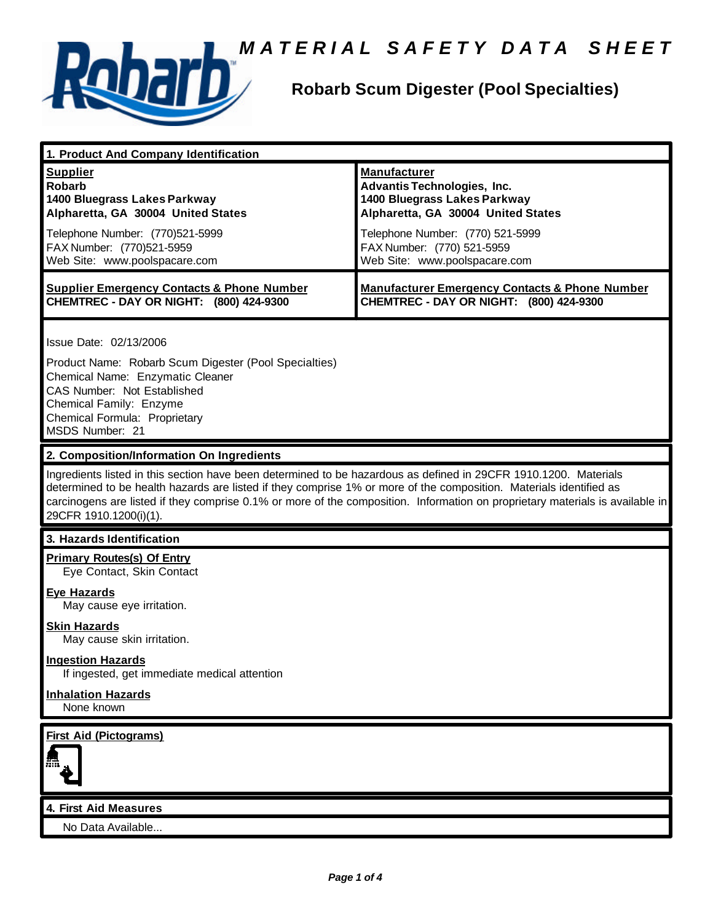

# **A** *MATERIAL SAFETY DATA SHEET*<br>Robarb Scum Digester (Pool Specialties)

# **Robarb Scum Digester (Pool Specialties)**

| 1. Product And Company Identification                                                                                                                                                                                                                            |                                                                                                                                 |
|------------------------------------------------------------------------------------------------------------------------------------------------------------------------------------------------------------------------------------------------------------------|---------------------------------------------------------------------------------------------------------------------------------|
| <b>Supplier</b><br><b>Robarb</b><br>1400 Bluegrass Lakes Parkway<br>Alpharetta, GA 30004 United States                                                                                                                                                           | <b>Manufacturer</b><br><b>Advantis Technologies, Inc.</b><br>1400 Bluegrass Lakes Parkway<br>Alpharetta, GA 30004 United States |
| Telephone Number: (770)521-5999<br>FAX Number: (770)521-5959<br>Web Site: www.poolspacare.com                                                                                                                                                                    | Telephone Number: (770) 521-5999<br>FAX Number: (770) 521-5959<br>Web Site: www.poolspacare.com                                 |
| <b>Supplier Emergency Contacts &amp; Phone Number</b><br>CHEMTREC - DAY OR NIGHT: (800) 424-9300                                                                                                                                                                 | <b>Manufacturer Emergency Contacts &amp; Phone Number</b><br>CHEMTREC - DAY OR NIGHT: (800) 424-9300                            |
| Issue Date: 02/13/2006                                                                                                                                                                                                                                           |                                                                                                                                 |
| Product Name: Robarb Scum Digester (Pool Specialties)<br>Chemical Name: Enzymatic Cleaner<br>CAS Number: Not Established<br>Chemical Family: Enzyme<br>Chemical Formula: Proprietary<br>MSDS Number: 21                                                          |                                                                                                                                 |
|                                                                                                                                                                                                                                                                  |                                                                                                                                 |
| 2. Composition/Information On Ingredients                                                                                                                                                                                                                        |                                                                                                                                 |
| Ingredients listed in this section have been determined to be hazardous as defined in 29CFR 1910.1200. Materials<br>determined to be health hazards are listed if they comprise 1% or more of the composition. Materials identified as<br>29CFR 1910.1200(i)(1). | carcinogens are listed if they comprise 0.1% or more of the composition. Information on proprietary materials is available in   |
| 3. Hazards Identification                                                                                                                                                                                                                                        |                                                                                                                                 |
| <b>Primary Routes(s) Of Entry</b><br>Eye Contact, Skin Contact                                                                                                                                                                                                   |                                                                                                                                 |
| <b>Eye Hazards</b><br>May cause eye irritation.                                                                                                                                                                                                                  |                                                                                                                                 |
| <b>Skin Hazards</b><br>May cause skin irritation.                                                                                                                                                                                                                |                                                                                                                                 |
| <b>Ingestion Hazards</b><br>If ingested, get immediate medical attention                                                                                                                                                                                         |                                                                                                                                 |
| <b>Inhalation Hazards</b><br>None known                                                                                                                                                                                                                          |                                                                                                                                 |



#### **4. First Aid Measures**

No Data Available...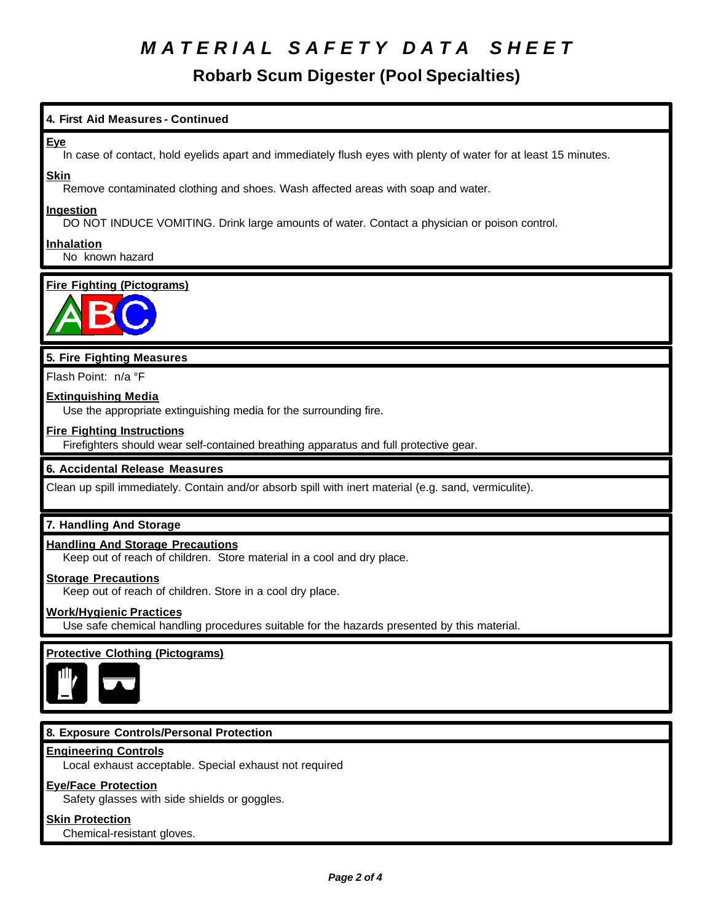## *M A T E R I A L S A F E T Y D A T A S H E E T*

## **Robarb Scum Digester (Pool Specialties)**

#### **4. First Aid Measures - Continued**

#### **Eye**

In case of contact, hold eyelids apart and immediately flush eyes with plenty of water for at least 15 minutes.

#### **Skin**

Remove contaminated clothing and shoes. Wash affected areas with soap and water.

#### **Ingestion**

DO NOT INDUCE VOMITING. Drink large amounts of water. Contact a physician or poison control.

#### **Inhalation**

No known hazard

#### **Fire Fighting (Pictograms)**



#### **5. Fire Fighting Measures**

Flash Point: n/a °F

#### **Extinguishing Media**

Use the appropriate extinguishing media for the surrounding fire.

#### **Fire Fighting Instructions**

Firefighters should wear self-contained breathing apparatus and full protective gear.

#### **6. Accidental Release Measures**

Clean up spill immediately. Contain and/or absorb spill with inert material (e.g. sand, vermiculite).

#### **7. Handling And Storage**

#### **Handling And Storage Precautions**

Keep out of reach of children. Store material in a cool and dry place.

#### **Storage Precautions**

Keep out of reach of children. Store in a cool dry place.

#### **Work/Hygienic Practices**

Use safe chemical handling procedures suitable for the hazards presented by this material.

#### **Protective Clothing (Pictograms)**



### **8. Exposure Controls/Personal Protection**

#### **Engineering Controls**

Local exhaust acceptable. Special exhaust not required

#### **Eye/Face Protection**

Safety glasses with side shields or goggles.

#### **Skin Protection**

Chemical-resistant gloves.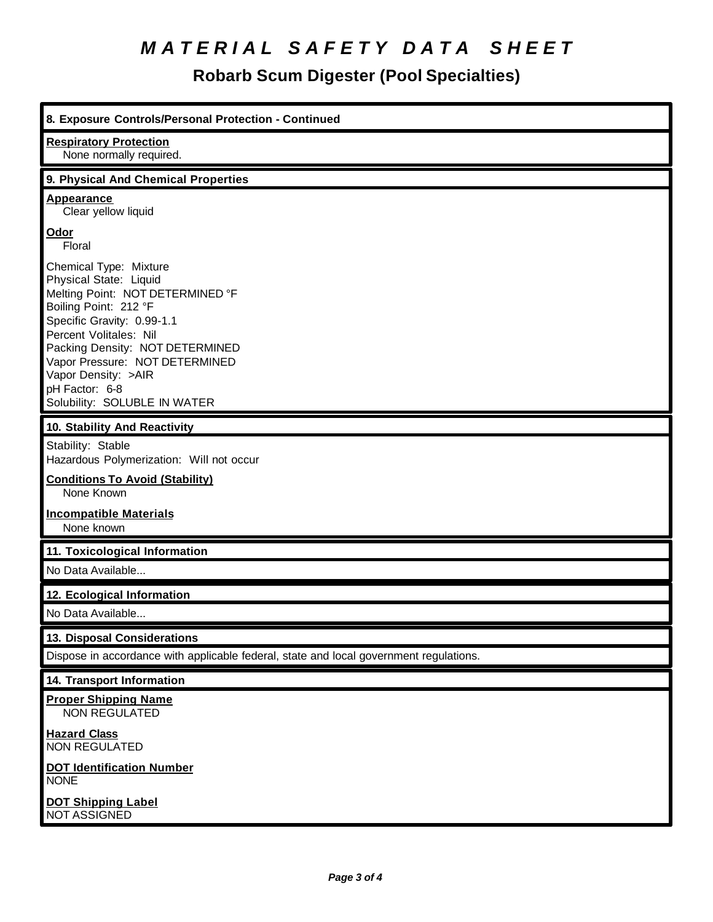# *M A T E R I A L S A F E T Y D A T A S H E E T*

**Robarb Scum Digester (Pool Specialties)**

| 8. Exposure Controls/Personal Protection - Continued                                                                                                                                                                                                                                                                |
|---------------------------------------------------------------------------------------------------------------------------------------------------------------------------------------------------------------------------------------------------------------------------------------------------------------------|
| <b>Respiratory Protection</b><br>None normally required.                                                                                                                                                                                                                                                            |
| 9. Physical And Chemical Properties                                                                                                                                                                                                                                                                                 |
| <b>Appearance</b><br>Clear yellow liquid                                                                                                                                                                                                                                                                            |
| Odor<br>Floral                                                                                                                                                                                                                                                                                                      |
| Chemical Type: Mixture<br>Physical State: Liquid<br>Melting Point: NOT DETERMINED °F<br>Boiling Point: 212 °F<br>Specific Gravity: 0.99-1.1<br>Percent Volitales: Nil<br>Packing Density: NOT DETERMINED<br>Vapor Pressure: NOT DETERMINED<br>Vapor Density: >AIR<br>pH Factor: 6-8<br>Solubility: SOLUBLE IN WATER |
| 10. Stability And Reactivity                                                                                                                                                                                                                                                                                        |
| Stability: Stable<br>Hazardous Polymerization: Will not occur<br><b>Conditions To Avoid (Stability)</b><br>None Known                                                                                                                                                                                               |
| <b>Incompatible Materials</b><br>None known                                                                                                                                                                                                                                                                         |
| 11. Toxicological Information                                                                                                                                                                                                                                                                                       |
| No Data Available                                                                                                                                                                                                                                                                                                   |
| 12. Ecological Information                                                                                                                                                                                                                                                                                          |
| No Data Available                                                                                                                                                                                                                                                                                                   |
| 13. Disposal Considerations                                                                                                                                                                                                                                                                                         |
| Dispose in accordance with applicable federal, state and local government regulations.                                                                                                                                                                                                                              |
| 14. Transport Information                                                                                                                                                                                                                                                                                           |
| <b>Proper Shipping Name</b><br>NON REGULATED                                                                                                                                                                                                                                                                        |
| <b>Hazard Class</b><br><b>NON REGULATED</b>                                                                                                                                                                                                                                                                         |
| <b>DOT Identification Number</b><br><b>NONE</b>                                                                                                                                                                                                                                                                     |
| <b>DOT Shipping Label</b><br>NOT ASSIGNED                                                                                                                                                                                                                                                                           |